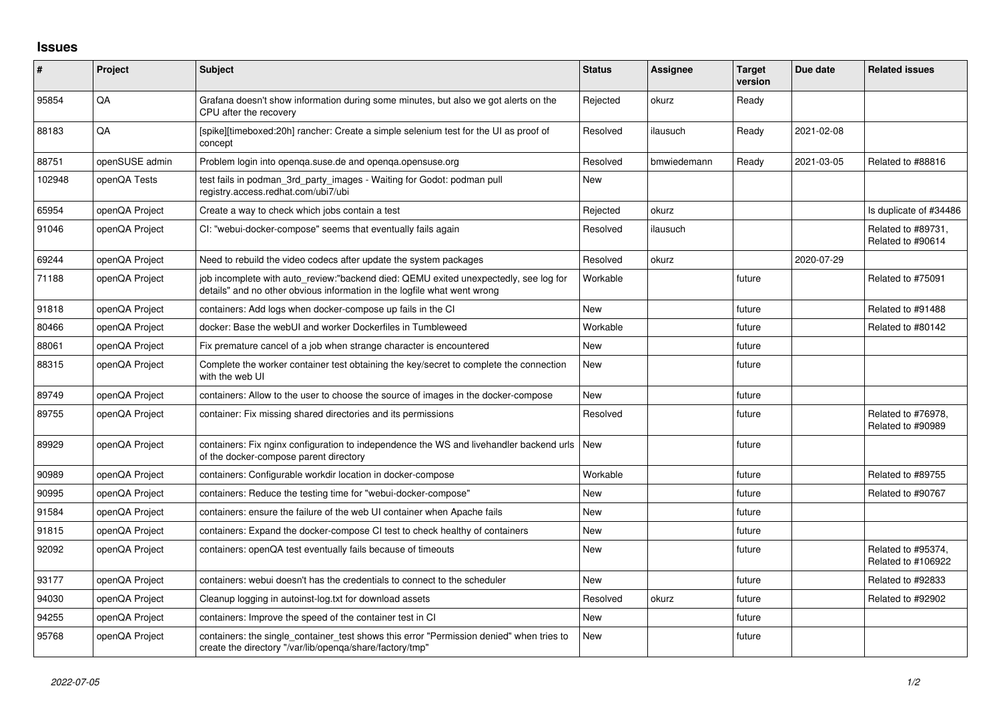## **Issues**

| #      | Project        | <b>Subject</b>                                                                                                                                                   | <b>Status</b> | <b>Assignee</b> | <b>Target</b><br>version | Due date   | <b>Related issues</b>                    |
|--------|----------------|------------------------------------------------------------------------------------------------------------------------------------------------------------------|---------------|-----------------|--------------------------|------------|------------------------------------------|
| 95854  | QA             | Grafana doesn't show information during some minutes, but also we got alerts on the<br>CPU after the recovery                                                    | Rejected      | okurz           | Ready                    |            |                                          |
| 88183  | QA             | [spike][timeboxed:20h] rancher: Create a simple selenium test for the UI as proof of<br>concept                                                                  | Resolved      | ilausuch        | Ready                    | 2021-02-08 |                                          |
| 88751  | openSUSE admin | Problem login into openga.suse.de and openga.opensuse.org                                                                                                        | Resolved      | bmwiedemann     | Ready                    | 2021-03-05 | Related to #88816                        |
| 102948 | openQA Tests   | test fails in podman_3rd_party_images - Waiting for Godot: podman pull<br>registry.access.redhat.com/ubi7/ubi                                                    | <b>New</b>    |                 |                          |            |                                          |
| 65954  | openQA Project | Create a way to check which jobs contain a test                                                                                                                  | Rejected      | okurz           |                          |            | Is duplicate of #34486                   |
| 91046  | openQA Project | CI: "webui-docker-compose" seems that eventually fails again                                                                                                     | Resolved      | ilausuch        |                          |            | Related to #89731,<br>Related to #90614  |
| 69244  | openQA Project | Need to rebuild the video codecs after update the system packages                                                                                                | Resolved      | okurz           |                          | 2020-07-29 |                                          |
| 71188  | openQA Project | job incomplete with auto review:"backend died: QEMU exited unexpectedly, see log for<br>details" and no other obvious information in the logfile what went wrong | Workable      |                 | future                   |            | Related to #75091                        |
| 91818  | openQA Project | containers: Add logs when docker-compose up fails in the CI                                                                                                      | <b>New</b>    |                 | future                   |            | Related to #91488                        |
| 80466  | openQA Project | docker: Base the webUI and worker Dockerfiles in Tumbleweed                                                                                                      | Workable      |                 | future                   |            | Related to #80142                        |
| 88061  | openQA Project | Fix premature cancel of a job when strange character is encountered                                                                                              | New           |                 | future                   |            |                                          |
| 88315  | openQA Project | Complete the worker container test obtaining the key/secret to complete the connection<br>with the web UI                                                        | <b>New</b>    |                 | future                   |            |                                          |
| 89749  | openQA Project | containers: Allow to the user to choose the source of images in the docker-compose                                                                               | New           |                 | future                   |            |                                          |
| 89755  | openQA Project | container: Fix missing shared directories and its permissions                                                                                                    | Resolved      |                 | future                   |            | Related to #76978,<br>Related to #90989  |
| 89929  | openQA Project | containers: Fix nginx configuration to independence the WS and livehandler backend urls<br>of the docker-compose parent directory                                | <b>New</b>    |                 | future                   |            |                                          |
| 90989  | openQA Project | containers: Configurable workdir location in docker-compose                                                                                                      | Workable      |                 | future                   |            | Related to #89755                        |
| 90995  | openQA Project | containers: Reduce the testing time for "webui-docker-compose"                                                                                                   | <b>New</b>    |                 | future                   |            | Related to #90767                        |
| 91584  | openQA Project | containers: ensure the failure of the web UI container when Apache fails                                                                                         | <b>New</b>    |                 | future                   |            |                                          |
| 91815  | openQA Project | containers: Expand the docker-compose CI test to check healthy of containers                                                                                     | New           |                 | future                   |            |                                          |
| 92092  | openQA Project | containers: openQA test eventually fails because of timeouts                                                                                                     | New           |                 | future                   |            | Related to #95374,<br>Related to #106922 |
| 93177  | openQA Project | containers: webui doesn't has the credentials to connect to the scheduler                                                                                        | <b>New</b>    |                 | future                   |            | Related to #92833                        |
| 94030  | openQA Project | Cleanup logging in autoinst-log txt for download assets                                                                                                          | Resolved      | okurz           | future                   |            | Related to #92902                        |
| 94255  | openQA Project | containers: Improve the speed of the container test in CI                                                                                                        | <b>New</b>    |                 | future                   |            |                                          |
| 95768  | openQA Project | containers: the single_container_test shows this error "Permission denied" when tries to<br>create the directory "/var/lib/openga/share/factory/tmp"             | <b>New</b>    |                 | future                   |            |                                          |